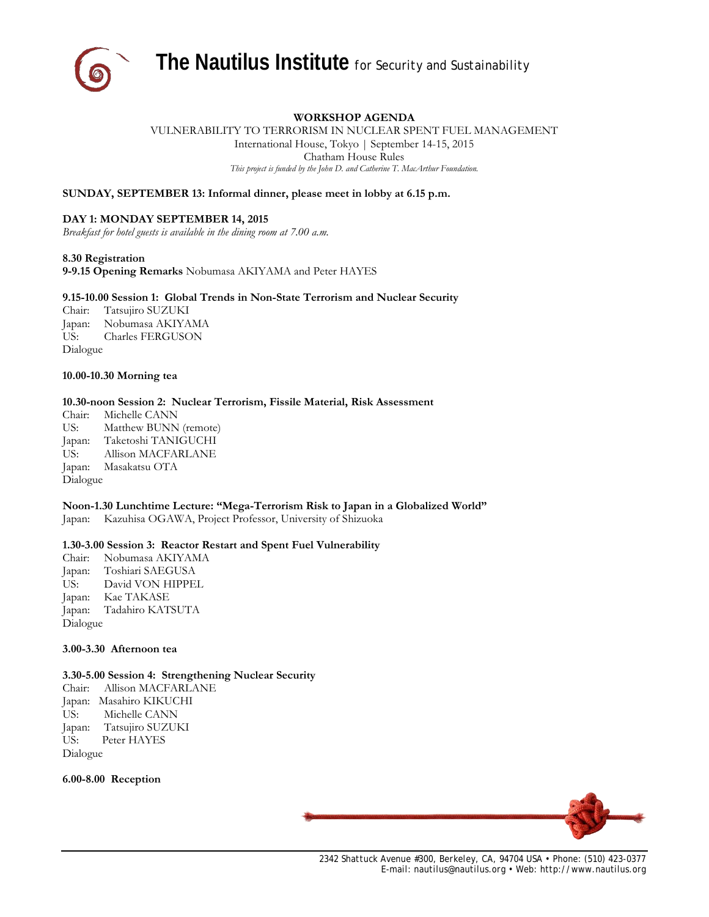

# **WORKSHOP AGENDA**

VULNERABILITY TO TERRORISM IN NUCLEAR SPENT FUEL MANAGEMENT International House, Tokyo | September 14-15, 2015 Chatham House Rules *This project is funded by the John D. and Catherine T. MacArthur Foundation.*

**SUNDAY, SEPTEMBER 13: Informal dinner, please meet in lobby at 6.15 p.m.**

## **DAY 1: MONDAY SEPTEMBER 14, 2015**

*Breakfast for hotel guests is available in the dining room at 7.00 a.m.*

### **8.30 Registration**

**9-9.15 Opening Remarks** Nobumasa AKIYAMA and Peter HAYES

### **9.15-10.00 Session 1: Global Trends in Non-State Terrorism and Nuclear Security**

Chair: Tatsujiro SUZUKI Japan: Nobumasa AKIYAMA US: Charles FERGUSON Dialogue

### **10.00-10.30 Morning tea**

## **10.30-noon Session 2: Nuclear Terrorism, Fissile Material, Risk Assessment**

Chair: Michelle CANN US: Matthew BUNN (remote) Japan: Taketoshi TANIGUCHI US: Allison MACFARLANE Japan: Masakatsu OTA Dialogue

# **Noon-1.30 Lunchtime Lecture: "Mega-Terrorism Risk to Japan in a Globalized World"**

Japan: Kazuhisa OGAWA, Project Professor, University of Shizuoka

## **1.30-3.00 Session 3: Reactor Restart and Spent Fuel Vulnerability**

Chair: Nobumasa AKIYAMA Japan: Toshiari SAEGUSA US: David VON HIPPEL Japan: Kae TAKASE Japan: Tadahiro KATSUTA Dialogue

# **3.00-3.30 Afternoon tea**

## **3.30-5.00 Session 4: Strengthening Nuclear Security**

Chair: Allison MACFARLANE Japan: Masahiro KIKUCHI US: Michelle CANN Japan: Tatsujiro SUZUKI US: Peter HAYES Dialogue

**6.00-8.00 Reception**